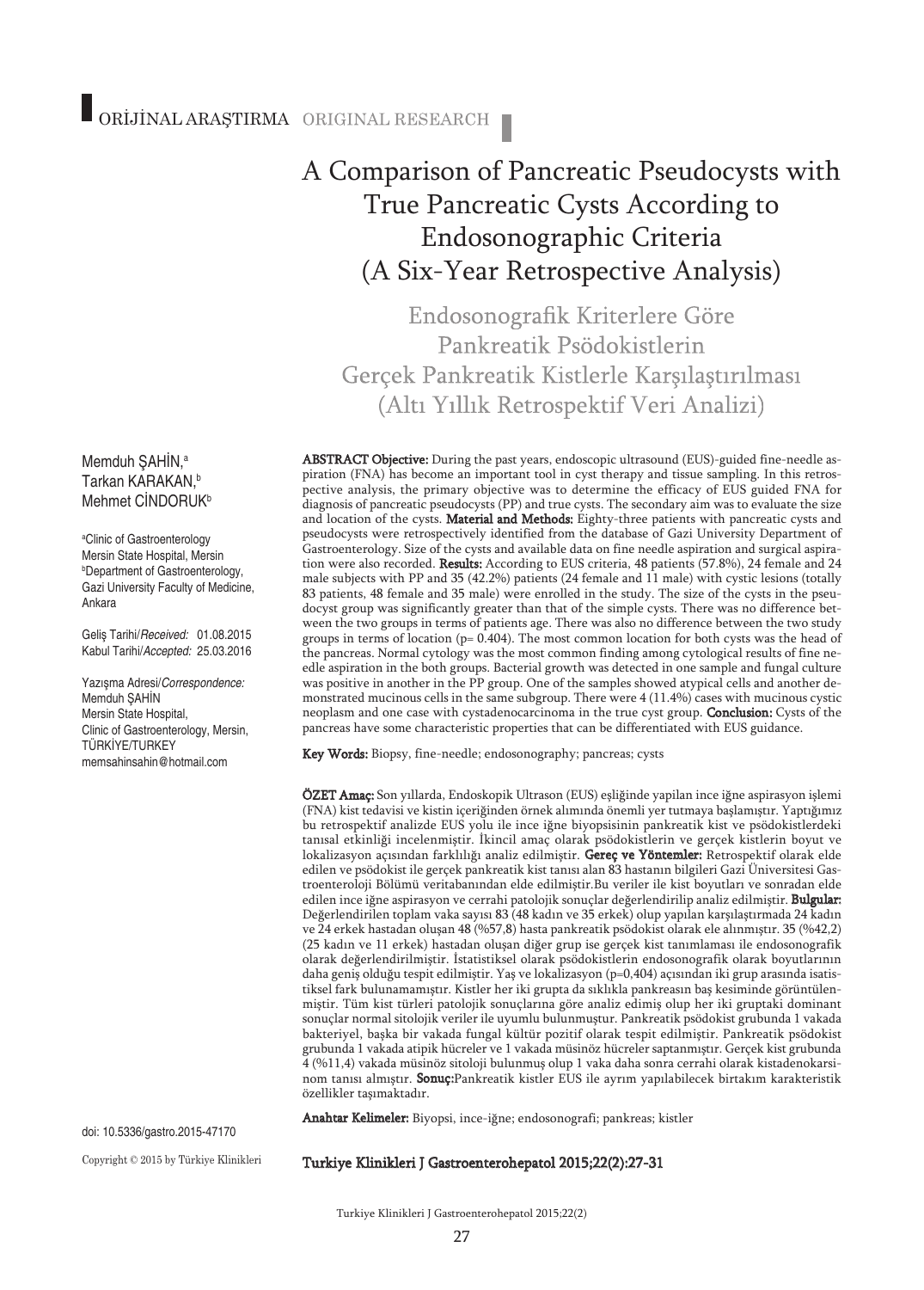# A Comparison of Pancreatic Pseudocysts with True Pancreatic Cysts According to Endosonographic Criteria (A Six-Year Retrospective Analysis)

Endosonografik Kriterlere Göre Pankreatik Psödokistlerin Gerçek Pankreatik Kistlerle Karşılaştırılması (Altı Yıllık Retrospektif Veri Analizi)

ABSTRACT Objective: During the past years, endoscopic ultrasound (EUS)-guided fine-needle aspiration (FNA) has become an important tool in cyst therapy and tissue sampling. In this retrospective analysis, the primary objective was to determine the efficacy of EUS guided FNA for diagnosis of pancreatic pseudocysts (PP) and true cysts. The secondary aim was to evaluate the size and location of the cysts. Material and Methods: Eighty-three patients with pancreatic cysts and pseudocysts were retrospectively identified from the database of Gazi University Department of Gastroenterology. Size of the cysts and available data on fine needle aspiration and surgical aspiration were also recorded. Results: According to EUS criteria, 48 patients (57.8%), 24 female and 24 male subjects with PP and 35 (42.2%) patients (24 female and 11 male) with cystic lesions (totally 83 patients, 48 female and 35 male) were enrolled in the study. The size of the cysts in the pseudocyst group was significantly greater than that of the simple cysts. There was no difference between the two groups in terms of patients age. There was also no difference between the two study groups in terms of location (p= 0.404). The most common location for both cysts was the head of the pancreas. Normal cytology was the most common finding among cytological results of fine needle aspiration in the both groups. Bacterial growth was detected in one sample and fungal culture was positive in another in the PP group. One of the samples showed atypical cells and another demonstrated mucinous cells in the same subgroup. There were 4 (11.4%) cases with mucinous cystic neoplasm and one case with cystadenocarcinoma in the true cyst group. Conclusion: Cysts of the pancreas have some characteristic properties that can be differentiated with EUS guidance.

Key Words: Biopsy, fine-needle; endosonography; pancreas; cysts

ÖZET Amaç: Son yıllarda, Endoskopik Ultrason (EUS) eşliğinde yapilan ince iğne aspirasyon işlemi (FNA) kist tedavisi ve kistin içeriğinden örnek alımında önemli yer tutmaya başlamıştır. Yaptığımız bu retrospektif analizde EUS yolu ile ince iğne biyopsisinin pankreatik kist ve psödokistlerdeki tanısal etkinliği incelenmiştir. İkincil amaç olarak psödokistlerin ve gerçek kistlerin boyut ve lokalizasyon açısından farklılığı analiz edilmiştir. Gereç ve Yöntemler: Retrospektif olarak elde edilen ve psödokist ile gerçek pankreatik kist tanısı alan 83 hastanın bilgileri Gazi Üniversitesi Gastroenteroloji Bölümü veritabanından elde edilmiştir.Bu veriler ile kist boyutları ve sonradan elde edilen ince iğne aspirasyon ve cerrahi patolojik sonuçlar değerlendirilip analiz edilmiştir. Bulgular: Değerlendirilen toplam vaka sayısı 83 (48 kadın ve 35 erkek) olup yapılan karşılaştırmada 24 kadın ve 24 erkek hastadan oluşan 48 (%57,8) hasta pankreatik psödokist olarak ele alınmıştır. 35 (%42,2) (25 kadın ve 11 erkek) hastadan oluşan diğer grup ise gerçek kist tanımlaması ile endosonografik olarak değerlendirilmiştir. İstatistiksel olarak psödokistlerin endosonografik olarak boyutlarının daha geniş olduğu tespit edilmiştir. Yaş ve lokalizasyon (p=0,404) açısından iki grup arasında isatistiksel fark bulunamamıştır. Kistler her iki grupta da sıklıkla pankreasın baş kesiminde görüntülenmiştir. Tüm kist türleri patolojik sonuçlarına göre analiz edimiş olup her iki gruptaki dominant sonuçlar normal sitolojik veriler ile uyumlu bulunmuştur. Pankreatik psödokist grubunda 1 vakada bakteriyel, başka bir vakada fungal kültür pozitif olarak tespit edilmiştir. Pankreatik psödokist grubunda 1 vakada atipik hücreler ve 1 vakada müsinöz hücreler saptanmıştır. Gerçek kist grubunda 4 (%11,4) vakada müsinöz sitoloji bulunmuş olup 1 vaka daha sonra cerrahi olarak kistadenokarsinom tanısı almıştır. Sonuç:Pankreatik kistler EUS ile ayrım yapılabilecek birtakım karakteristik özellikler taşımaktadır.

Anahtar Kelimeler: Biyopsi, ince-iğne; endosonografi; pankreas; kistler

#### Turkiye Klinikleri J Gastroenterohepatol 2015;22(2):27-31

#### Memduh ŞAHİN, a Tarkan KARAKAN, b Mehmet CİNDORUK<sup>b</sup>

a Clinic of Gastroenterology Mersin State Hospital, Mersin b Department of Gastroenterology, Gazi University Faculty of Medicine, Ankara

Geliş Tarihi/*Received:* 01.08.2015 Kabul Tarihi/*Accepted:* 25.03.2016

Yazışma Adresi/*Correspondence:* Memduh ŞAHİN Mersin State Hospital, Clinic of Gastroenterology, Mersin, TÜRKİYE/TURKEY memsahinsahin@hotmail.com

doi: 10.5336/gastro.2015-47170

Copyright © 2015 by Türkiye Klinikleri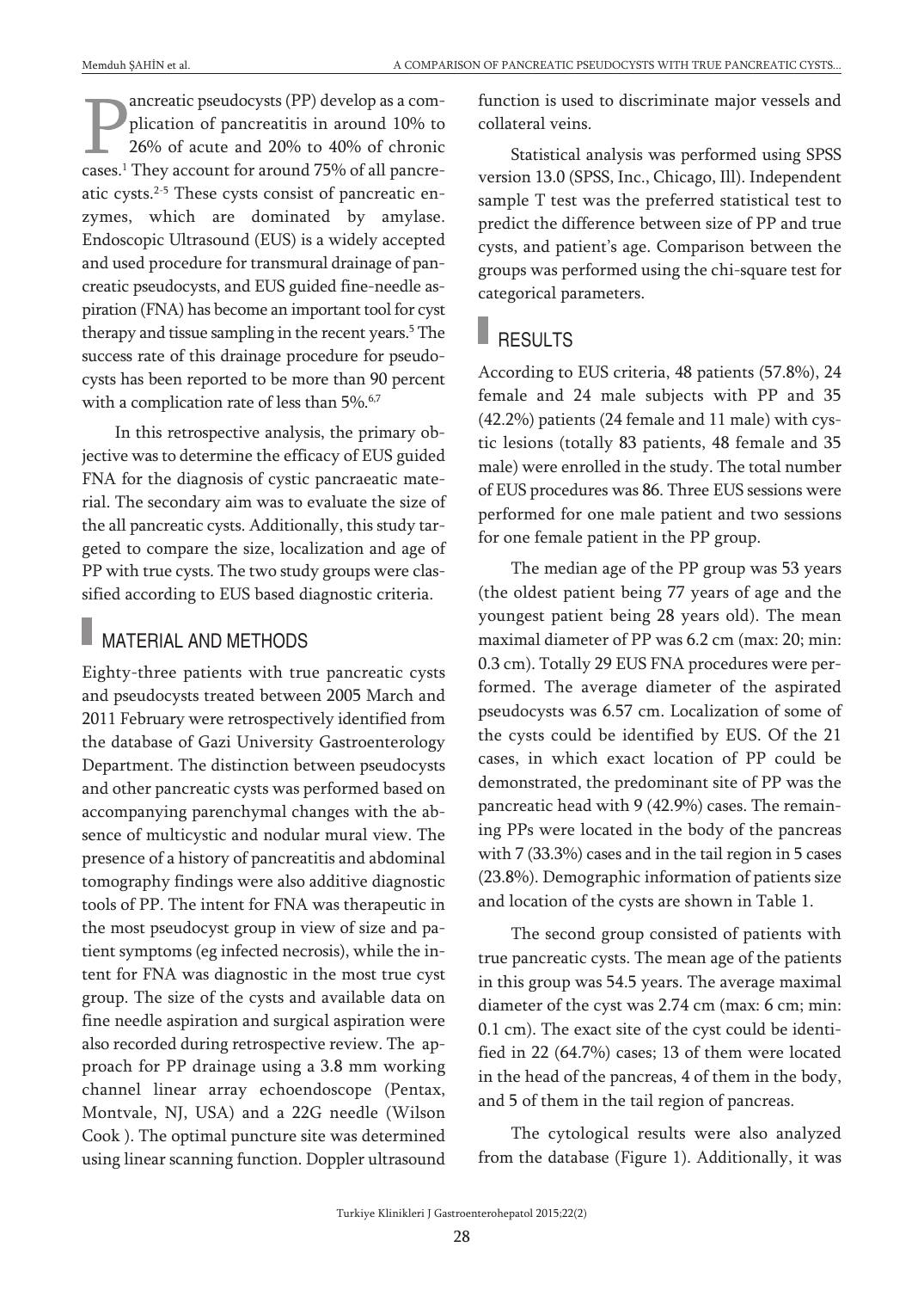ancreatic pseudocysts (PP) develop as a complication of pancreatitis in around 10% to 26% of acute and 20% to 40% of chronic cases. <sup>1</sup> They account for around 75% of all pancreatic cysts. 2-5 These cysts consist of pancreatic enzymes, which are dominated by amylase. Endoscopic Ultrasound (EUS) is a widely accepted and used procedure for transmural drainage of pancreatic pseudocysts, and EUS guided fine-needle aspiration (FNA) has become an important tool for cyst therapy and tissue sampling in the recent years. <sup>5</sup> The success rate of this drainage procedure for pseudocysts has been reported to be more than 90 percent with a complication rate of less than 5%.<sup>6,7</sup>

In this retrospective analysis, the primary objective was to determine the efficacy of EUS guided FNA for the diagnosis of cystic pancraeatic material. The secondary aim was to evaluate the size of the all pancreatic cysts. Additionally, this study targeted to compare the size, localization and age of PP with true cysts. The two study groups were classified according to EUS based diagnostic criteria.

### MATERIAL AND METHODS

Eighty-three patients with true pancreatic cysts and pseudocysts treated between 2005 March and 2011 February were retrospectively identified from the database of Gazi University Gastroenterology Department. The distinction between pseudocysts and other pancreatic cysts was performed based on accompanying parenchymal changes with the absence of multicystic and nodular mural view. The presence of a history of pancreatitis and abdominal tomography findings were also additive diagnostic tools of PP. The intent for FNA was therapeutic in the most pseudocyst group in view of size and patient symptoms (eg infected necrosis), while the intent for FNA was diagnostic in the most true cyst group. The size of the cysts and available data on fine needle aspiration and surgical aspiration were also recorded during retrospective review. The approach for PP drainage using a 3.8 mm working channel linear array echoendoscope (Pentax, Montvale, NJ, USA) and a 22G needle (Wilson Cook ). The optimal puncture site was determined using linear scanning function. Doppler ultrasound function is used to discriminate major vessels and collateral veins.

Statistical analysis was performed using SPSS version 13.0 (SPSS, Inc., Chicago, Ill). Independent sample T test was the preferred statistical test to predict the difference between size of PP and true cysts, and patient's age. Comparison between the groups was performed using the chi-square test for categorical parameters.

## **RESULTS**

According to EUS criteria, 48 patients (57.8%), 24 female and 24 male subjects with PP and 35 (42.2%) patients (24 female and 11 male) with cystic lesions (totally 83 patients, 48 female and 35 male) were enrolled in the study. The total number of EUS procedures was 86. Three EUS sessions were performed for one male patient and two sessions for one female patient in the PP group.

The median age of the PP group was 53 years (the oldest patient being 77 years of age and the youngest patient being 28 years old). The mean maximal diameter of PP was 6.2 cm (max: 20; min: 0.3 cm). Totally 29 EUS FNA procedures were performed. The average diameter of the aspirated pseudocysts was 6.57 cm. Localization of some of the cysts could be identified by EUS. Of the 21 cases, in which exact location of PP could be demonstrated, the predominant site of PP was the pancreatic head with 9 (42.9%) cases. The remaining PPs were located in the body of the pancreas with 7 (33.3%) cases and in the tail region in 5 cases (23.8%). Demographic information of patients size and location of the cysts are shown in Table 1.

The second group consisted of patients with true pancreatic cysts. The mean age of the patients in this group was 54.5 years. The average maximal diameter of the cyst was 2.74 cm (max: 6 cm; min: 0.1 cm). The exact site of the cyst could be identified in 22 (64.7%) cases; 13 of them were located in the head of the pancreas, 4 of them in the body, and 5 of them in the tail region of pancreas.

The cytological results were also analyzed from the database (Figure 1). Additionally, it was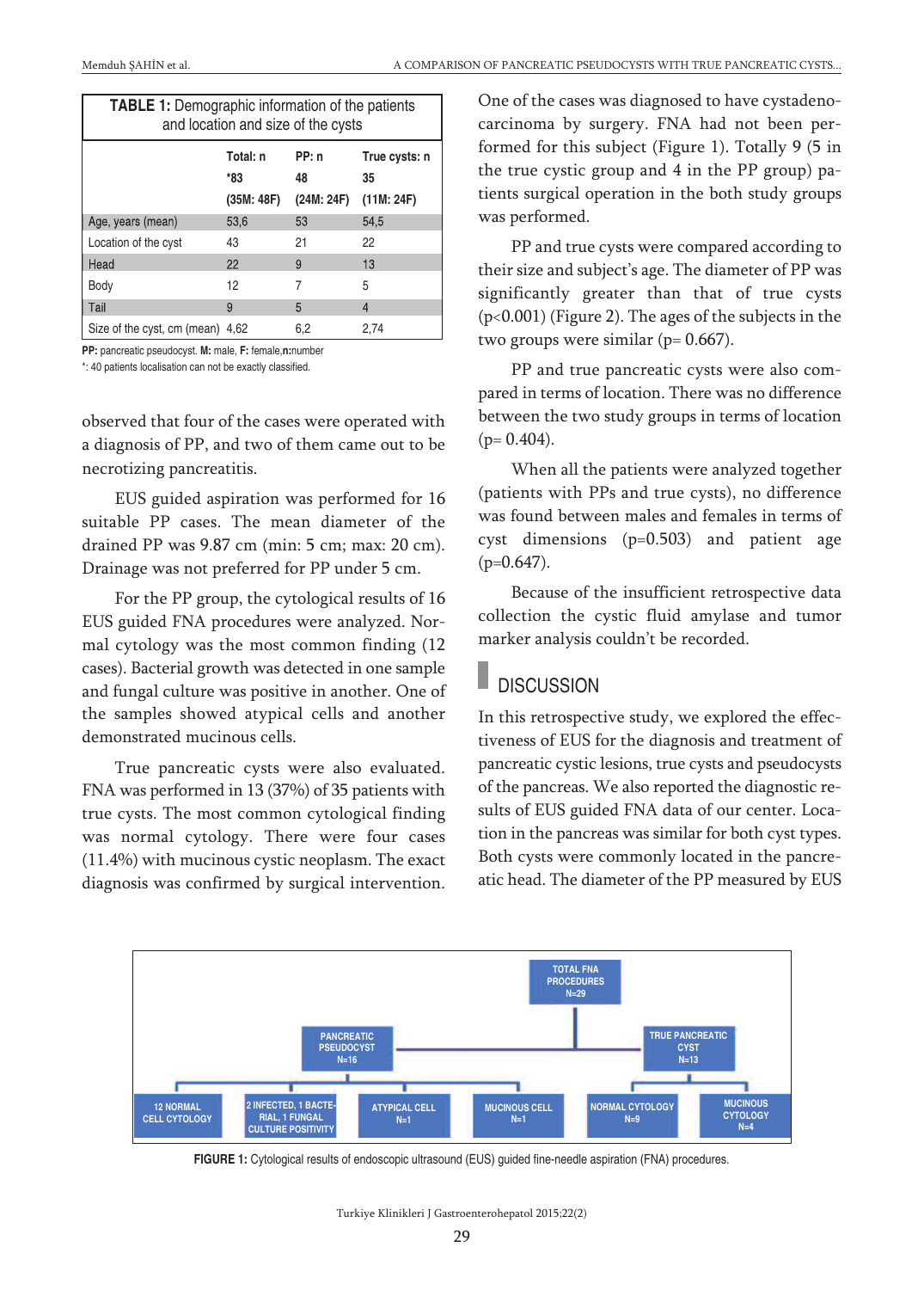| <b>TABLE 1:</b> Demographic information of the patients<br>and location and size of the cysts |                               |                           |                                   |
|-----------------------------------------------------------------------------------------------|-------------------------------|---------------------------|-----------------------------------|
|                                                                                               | Total: n<br>*83<br>(35M: 48F) | PP: n<br>48<br>(24M: 24F) | True cysts: n<br>35<br>(11M: 24F) |
| Age, years (mean)                                                                             | 53,6                          | 53                        | 54.5                              |
| Location of the cyst                                                                          | 43                            | 21                        | 22                                |
| Head                                                                                          | 22                            | 9                         | 13                                |
| Body                                                                                          | 12                            | 7                         | 5                                 |
| Tail                                                                                          | 9                             | 5                         | 4                                 |
| Size of the cyst, cm (mean) 4,62                                                              |                               | 6,2                       | 2.74                              |

**PP:** pancreatic pseudocyst. **M:** male, **F:** female,**n:**number

\*: 40 patients localisation can not be exactly classified.

observed that four of the cases were operated with a diagnosis of PP, and two of them came out to be necrotizing pancreatitis.

EUS guided aspiration was performed for 16 suitable PP cases. The mean diameter of the drained PP was 9.87 cm (min: 5 cm; max: 20 cm). Drainage was not preferred for PP under 5 cm.

For the PP group, the cytological results of 16 EUS guided FNA procedures were analyzed. Normal cytology was the most common finding (12 cases). Bacterial growth was detected in one sample and fungal culture was positive in another. One of the samples showed atypical cells and another demonstrated mucinous cells.

True pancreatic cysts were also evaluated. FNA was performed in 13 (37%) of 35 patients with true cysts. The most common cytological finding was normal cytology. There were four cases (11.4%) with mucinous cystic neoplasm. The exact diagnosis was confirmed by surgical intervention. One of the cases was diagnosed to have cystadenocarcinoma by surgery. FNA had not been performed for this subject (Figure 1). Totally 9 (5 in the true cystic group and 4 in the PP group) patients surgical operation in the both study groups was performed.

PP and true cysts were compared according to their size and subject's age. The diameter of PP was significantly greater than that of true cysts (p<0.001) (Figure 2). The ages of the subjects in the two groups were similar ( $p= 0.667$ ).

PP and true pancreatic cysts were also compared in terms of location. There was no difference between the two study groups in terms of location  $(p= 0.404)$ .

When all the patients were analyzed together (patients with PPs and true cysts), no difference was found between males and females in terms of cyst dimensions (p=0.503) and patient age  $(p=0.647)$ .

Because of the insufficient retrospective data collection the cystic fluid amylase and tumor marker analysis couldn't be recorded.

### **DISCUSSION**

In this retrospective study, we explored the effectiveness of EUS for the diagnosis and treatment of pancreatic cystic lesions, true cysts and pseudocysts of the pancreas. We also reported the diagnostic results of EUS guided FNA data of our center. Location in the pancreas was similar for both cyst types. Both cysts were commonly located in the pancreatic head. The diameter of the PP measured by EUS



**FIGURE 1:** Cytological results of endoscopic ultrasound (EUS) guided fine-needle aspiration (FNA) procedures.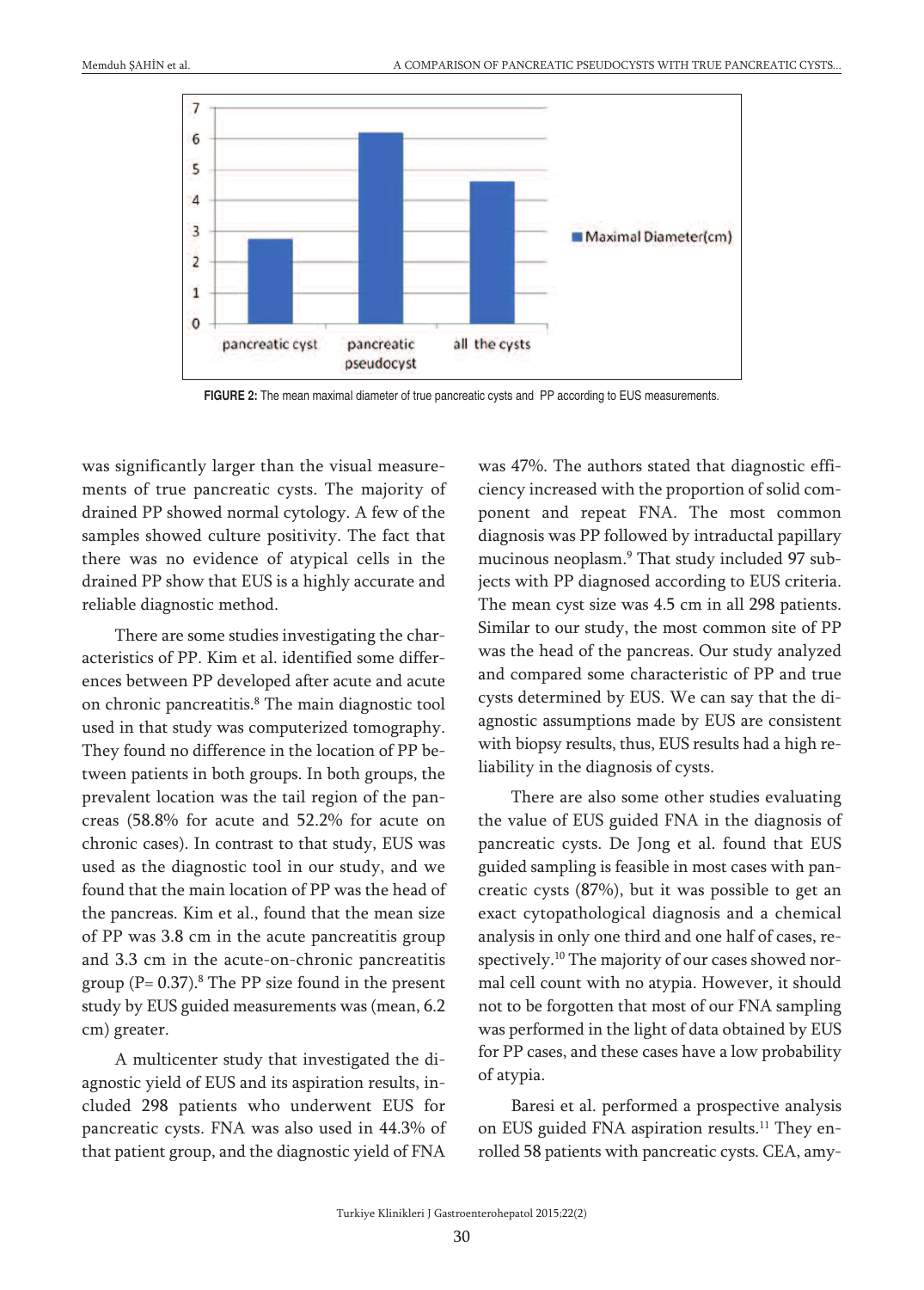

**FIGURE 2:** The mean maximal diameter of true pancreatic cysts and PP according to EUS measurements.

was significantly larger than the visual measurements of true pancreatic cysts. The majority of drained PP showed normal cytology. A few of the samples showed culture positivity. The fact that there was no evidence of atypical cells in the drained PP show that EUS is a highly accurate and reliable diagnostic method.

There are some studies investigating the characteristics of PP. Kim et al. identified some differences between PP developed after acute and acute on chronic pancreatitis. <sup>8</sup> The main diagnostic tool used in that study was computerized tomography. They found no difference in the location of PP between patients in both groups. In both groups, the prevalent location was the tail region of the pancreas (58.8% for acute and 52.2% for acute on chronic cases). In contrast to that study, EUS was used as the diagnostic tool in our study, and we found that the main location of PP was the head of the pancreas. Kim et al., found that the mean size of PP was 3.8 cm in the acute pancreatitis group and 3.3 cm in the acute-on-chronic pancreatitis group (P= 0.37). <sup>8</sup> The PP size found in the present study by EUS guided measurements was (mean, 6.2 cm) greater.

A multicenter study that investigated the diagnostic yield of EUS and its aspiration results, included 298 patients who underwent EUS for pancreatic cysts. FNA was also used in 44.3% of that patient group, and the diagnostic yield of FNA

was 47%. The authors stated that diagnostic efficiency increased with the proportion of solid component and repeat FNA. The most common diagnosis was PP followed by intraductal papillary mucinous neoplasm. <sup>9</sup> That study included 97 subjects with PP diagnosed according to EUS criteria. The mean cyst size was 4.5 cm in all 298 patients. Similar to our study, the most common site of PP was the head of the pancreas. Our study analyzed and compared some characteristic of PP and true cysts determined by EUS. We can say that the diagnostic assumptions made by EUS are consistent with biopsy results, thus, EUS results had a high reliability in the diagnosis of cysts.

There are also some other studies evaluating the value of EUS guided FNA in the diagnosis of pancreatic cysts. De Jong et al. found that EUS guided sampling is feasible in most cases with pancreatic cysts (87%), but it was possible to get an exact cytopathological diagnosis and a chemical analysis in only one third and one half of cases, respectively. <sup>10</sup> The majority of our cases showed normal cell count with no atypia. However, it should not to be forgotten that most of our FNA sampling was performed in the light of data obtained by EUS for PP cases, and these cases have a low probability of atypia.

Baresi et al. performed a prospective analysis on EUS guided FNA aspiration results.<sup>11</sup> They enrolled 58 patients with pancreatic cysts. CEA, amy